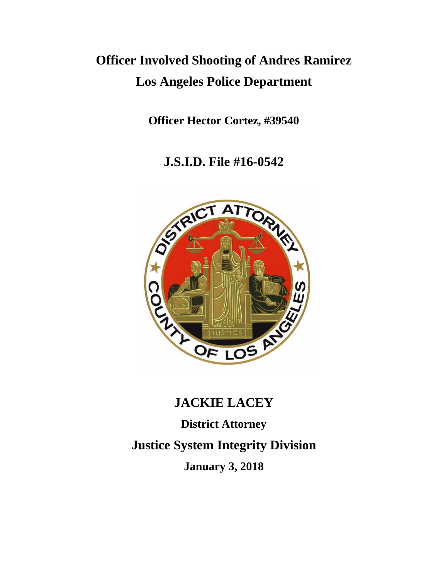# **Officer Involved Shooting of Andres Ramirez Los Angeles Police Department**

**Officer Hector Cortez, #39540**

**J.S.I.D. File #16-0542**



## **JACKIE LACEY**

**District Attorney Justice System Integrity Division January 3, 2018**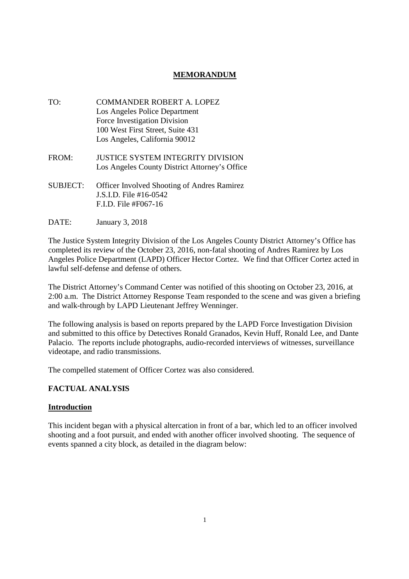## **MEMORANDUM**

- TO: COMMANDER ROBERT A. LOPEZ Los Angeles Police Department Force Investigation Division 100 West First Street, Suite 431 Los Angeles, California 90012
- FROM: JUSTICE SYSTEM INTEGRITY DIVISION Los Angeles County District Attorney's Office
- SUBJECT: Officer Involved Shooting of Andres Ramirez J.S.I.D. File #16-0542 F.I.D. File #F067-16
- DATE: January 3, 2018

The Justice System Integrity Division of the Los Angeles County District Attorney's Office has completed its review of the October 23, 2016, non-fatal shooting of Andres Ramirez by Los Angeles Police Department (LAPD) Officer Hector Cortez. We find that Officer Cortez acted in lawful self-defense and defense of others.

The District Attorney's Command Center was notified of this shooting on October 23, 2016, at 2:00 a.m. The District Attorney Response Team responded to the scene and was given a briefing and walk-through by LAPD Lieutenant Jeffrey Wenninger.

The following analysis is based on reports prepared by the LAPD Force Investigation Division and submitted to this office by Detectives Ronald Granados, Kevin Huff, Ronald Lee, and Dante Palacio. The reports include photographs, audio-recorded interviews of witnesses, surveillance videotape, and radio transmissions.

The compelled statement of Officer Cortez was also considered.

## **FACTUAL ANALYSIS**

## **Introduction**

This incident began with a physical altercation in front of a bar, which led to an officer involved shooting and a foot pursuit, and ended with another officer involved shooting. The sequence of events spanned a city block, as detailed in the diagram below: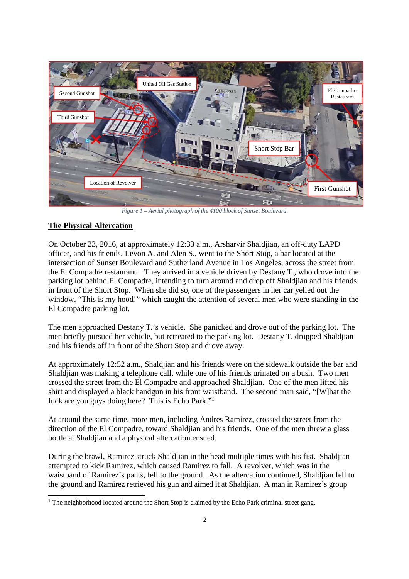

*Figure 1 – Aerial photograph of the 4100 block of Sunset Boulevard.*

## **The Physical Altercation**

On October 23, 2016, at approximately 12:33 a.m., Arsharvir Shaldjian, an off-duty LAPD officer, and his friends, Levon A. and Alen S., went to the Short Stop, a bar located at the intersection of Sunset Boulevard and Sutherland Avenue in Los Angeles, across the street from the El Compadre restaurant. They arrived in a vehicle driven by Destany T., who drove into the parking lot behind El Compadre, intending to turn around and drop off Shaldjian and his friends in front of the Short Stop. When she did so, one of the passengers in her car yelled out the window, "This is my hood!" which caught the attention of several men who were standing in the El Compadre parking lot.

The men approached Destany T.'s vehicle. She panicked and drove out of the parking lot. The men briefly pursued her vehicle, but retreated to the parking lot. Destany T. dropped Shaldjian and his friends off in front of the Short Stop and drove away.

At approximately 12:52 a.m., Shaldjian and his friends were on the sidewalk outside the bar and Shaldjian was making a telephone call, while one of his friends urinated on a bush. Two men crossed the street from the El Compadre and approached Shaldjian. One of the men lifted his shirt and displayed a black handgun in his front waistband. The second man said, "[W]hat the fuck are you guys doing here? This is Echo Park."<sup>1</sup>

At around the same time, more men, including Andres Ramirez, crossed the street from the direction of the El Compadre, toward Shaldjian and his friends. One of the men threw a glass bottle at Shaldjian and a physical altercation ensued.

During the brawl, Ramirez struck Shaldjian in the head multiple times with his fist. Shaldjian attempted to kick Ramirez, which caused Ramirez to fall. A revolver, which was in the waistband of Ramirez's pants, fell to the ground. As the altercation continued, Shaldjian fell to the ground and Ramirez retrieved his gun and aimed it at Shaldjian. A man in Ramirez's group

<sup>&</sup>lt;sup>1</sup> The neighborhood located around the Short Stop is claimed by the Echo Park criminal street gang.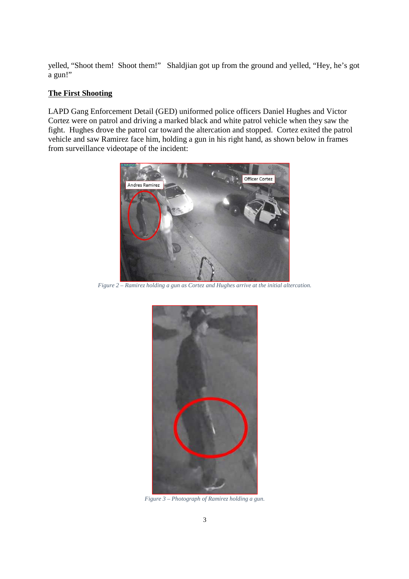yelled, "Shoot them! Shoot them!" Shaldjian got up from the ground and yelled, "Hey, he's got a gun!"

#### **The First Shooting**

LAPD Gang Enforcement Detail (GED) uniformed police officers Daniel Hughes and Victor Cortez were on patrol and driving a marked black and white patrol vehicle when they saw the fight. Hughes drove the patrol car toward the altercation and stopped. Cortez exited the patrol vehicle and saw Ramirez face him, holding a gun in his right hand, as shown below in frames from surveillance videotape of the incident:



*Figure 2 – Ramirez holding a gun as Cortez and Hughes arrive at the initial altercation.*



*Figure 3 – Photograph of Ramirez holding a gun.*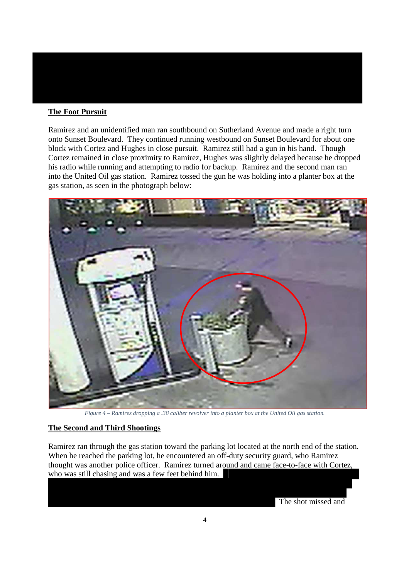## **The Foot Pursuit**

Ramirez and an unidentified man ran southbound on Sutherland Avenue and made a right turn onto Sunset Boulevard. They continued running westbound on Sunset Boulevard for about one block with Cortez and Hughes in close pursuit. Ramirez still had a gun in his hand. Though Cortez remained in close proximity to Ramirez, Hughes was slightly delayed because he dropped his radio while running and attempting to radio for backup. Ramirez and the second man ran into the United Oil gas station. Ramirez tossed the gun he was holding into a planter box at the gas station, as seen in the photograph below:



*Figure 4 – Ramirez dropping a .38 caliber revolver into a planter box at the United Oil gas station.*

## **The Second and Third Shootings**

Ramirez ran through the gas station toward the parking lot located at the north end of the station. When he reached the parking lot, he encountered an off-duty security guard, who Ramirez thought was another police officer. Ramirez turned around and came face-to-face with Cortez, who was still chasing and was a few feet behind him.

The shot missed and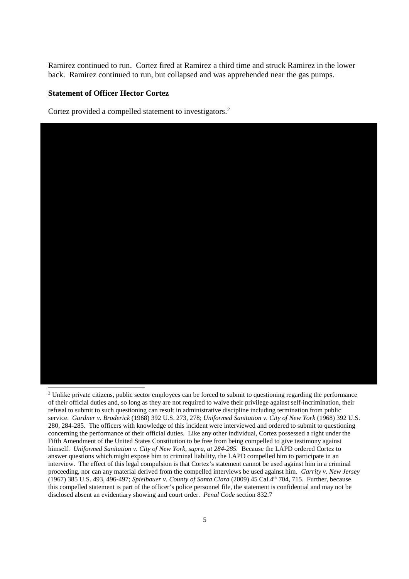Ramirez continued to run. Cortez fired at Ramirez a third time and struck Ramirez in the lower back. Ramirez continued to run, but collapsed and was apprehended near the gas pumps.

#### **Statement of Officer Hector Cortez**

Cortez provided a compelled statement to investigators.<sup>2</sup>



<sup>&</sup>lt;sup>2</sup> Unlike private citizens, public sector employees can be forced to submit to questioning regarding the performance of their official duties and, so long as they are not required to waive their privilege against self-incrimination, their refusal to submit to such questioning can result in administrative discipline including termination from public service. *Gardner v. Broderick* (1968) 392 U.S. 273, 278; *Uniformed Sanitation v. City of New York* (1968) 392 U.S. 280, 284-285. The officers with knowledge of this incident were interviewed and ordered to submit to questioning concerning the performance of their official duties. Like any other individual, Cortez possessed a right under the Fifth Amendment of the United States Constitution to be free from being compelled to give testimony against himself. *Uniformed Sanitation v. City of New York, supra, at 284-285.* Because the LAPD ordered Cortez to answer questions which might expose him to criminal liability, the LAPD compelled him to participate in an interview. The effect of this legal compulsion is that Cortez's statement cannot be used against him in a criminal proceeding, nor can any material derived from the compelled interviews be used against him. *Garrity v. New Jersey* (1967) 385 U.S. 493, 496-497; *Spielbauer v. County of Santa Clara* (2009) 45 Cal.4th 704, 715. Further, because this compelled statement is part of the officer's police personnel file, the statement is confidential and may not be disclosed absent an evidentiary showing and court order. *Penal Code* section 832.7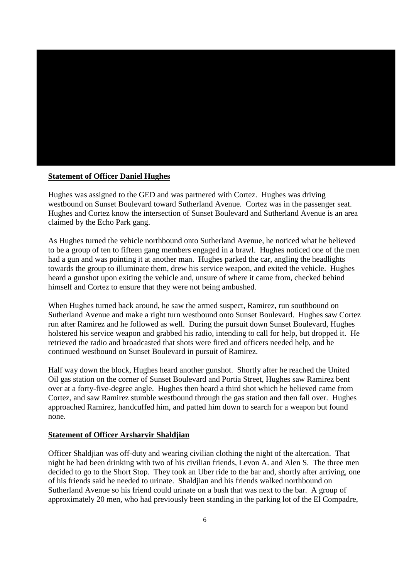

#### **Statement of Officer Daniel Hughes**

Hughes was assigned to the GED and was partnered with Cortez. Hughes was driving westbound on Sunset Boulevard toward Sutherland Avenue. Cortez was in the passenger seat. Hughes and Cortez know the intersection of Sunset Boulevard and Sutherland Avenue is an area claimed by the Echo Park gang.

As Hughes turned the vehicle northbound onto Sutherland Avenue, he noticed what he believed to be a group of ten to fifteen gang members engaged in a brawl. Hughes noticed one of the men had a gun and was pointing it at another man. Hughes parked the car, angling the headlights towards the group to illuminate them, drew his service weapon, and exited the vehicle. Hughes heard a gunshot upon exiting the vehicle and, unsure of where it came from, checked behind himself and Cortez to ensure that they were not being ambushed.

When Hughes turned back around, he saw the armed suspect, Ramirez, run southbound on Sutherland Avenue and make a right turn westbound onto Sunset Boulevard. Hughes saw Cortez run after Ramirez and he followed as well. During the pursuit down Sunset Boulevard, Hughes holstered his service weapon and grabbed his radio, intending to call for help, but dropped it. He retrieved the radio and broadcasted that shots were fired and officers needed help, and he continued westbound on Sunset Boulevard in pursuit of Ramirez.

Half way down the block, Hughes heard another gunshot. Shortly after he reached the United Oil gas station on the corner of Sunset Boulevard and Portia Street, Hughes saw Ramirez bent over at a forty-five-degree angle. Hughes then heard a third shot which he believed came from Cortez, and saw Ramirez stumble westbound through the gas station and then fall over. Hughes approached Ramirez, handcuffed him, and patted him down to search for a weapon but found none.

#### **Statement of Officer Arsharvir Shaldjian**

Officer Shaldjian was off-duty and wearing civilian clothing the night of the altercation. That night he had been drinking with two of his civilian friends, Levon A. and Alen S. The three men decided to go to the Short Stop. They took an Uber ride to the bar and, shortly after arriving, one of his friends said he needed to urinate. Shaldjian and his friends walked northbound on Sutherland Avenue so his friend could urinate on a bush that was next to the bar. A group of approximately 20 men, who had previously been standing in the parking lot of the El Compadre,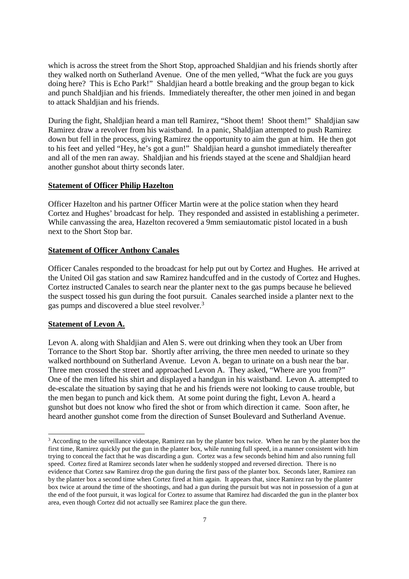which is across the street from the Short Stop, approached Shaldjian and his friends shortly after they walked north on Sutherland Avenue. One of the men yelled, "What the fuck are you guys doing here? This is Echo Park!" Shaldjian heard a bottle breaking and the group began to kick and punch Shaldjian and his friends. Immediately thereafter, the other men joined in and began to attack Shaldjian and his friends.

During the fight, Shaldjian heard a man tell Ramirez, "Shoot them! Shoot them!" Shaldjian saw Ramirez draw a revolver from his waistband. In a panic, Shaldjian attempted to push Ramirez down but fell in the process, giving Ramirez the opportunity to aim the gun at him. He then got to his feet and yelled "Hey, he's got a gun!" Shaldjian heard a gunshot immediately thereafter and all of the men ran away. Shaldjian and his friends stayed at the scene and Shaldjian heard another gunshot about thirty seconds later.

#### **Statement of Officer Philip Hazelton**

Officer Hazelton and his partner Officer Martin were at the police station when they heard Cortez and Hughes' broadcast for help. They responded and assisted in establishing a perimeter. While canvassing the area, Hazelton recovered a 9mm semiautomatic pistol located in a bush next to the Short Stop bar.

#### **Statement of Officer Anthony Canales**

Officer Canales responded to the broadcast for help put out by Cortez and Hughes. He arrived at the United Oil gas station and saw Ramirez handcuffed and in the custody of Cortez and Hughes. Cortez instructed Canales to search near the planter next to the gas pumps because he believed the suspect tossed his gun during the foot pursuit. Canales searched inside a planter next to the gas pumps and discovered a blue steel revolver.<sup>3</sup>

#### **Statement of Levon A.**

Levon A. along with Shaldjian and Alen S. were out drinking when they took an Uber from Torrance to the Short Stop bar. Shortly after arriving, the three men needed to urinate so they walked northbound on Sutherland Avenue. Levon A. began to urinate on a bush near the bar. Three men crossed the street and approached Levon A. They asked, "Where are you from?" One of the men lifted his shirt and displayed a handgun in his waistband. Levon A. attempted to de-escalate the situation by saying that he and his friends were not looking to cause trouble, but the men began to punch and kick them. At some point during the fight, Levon A. heard a gunshot but does not know who fired the shot or from which direction it came. Soon after, he heard another gunshot come from the direction of Sunset Boulevard and Sutherland Avenue.

<sup>&</sup>lt;sup>3</sup> According to the surveillance videotape, Ramirez ran by the planter box twice. When he ran by the planter box the first time, Ramirez quickly put the gun in the planter box, while running full speed, in a manner consistent with him trying to conceal the fact that he was discarding a gun. Cortez was a few seconds behind him and also running full speed. Cortez fired at Ramirez seconds later when he suddenly stopped and reversed direction. There is no evidence that Cortez saw Ramirez drop the gun during the first pass of the planter box. Seconds later, Ramirez ran by the planter box a second time when Cortez fired at him again. It appears that, since Ramirez ran by the planter box twice at around the time of the shootings, and had a gun during the pursuit but was not in possession of a gun at the end of the foot pursuit, it was logical for Cortez to assume that Ramirez had discarded the gun in the planter box area, even though Cortez did not actually see Ramirez place the gun there.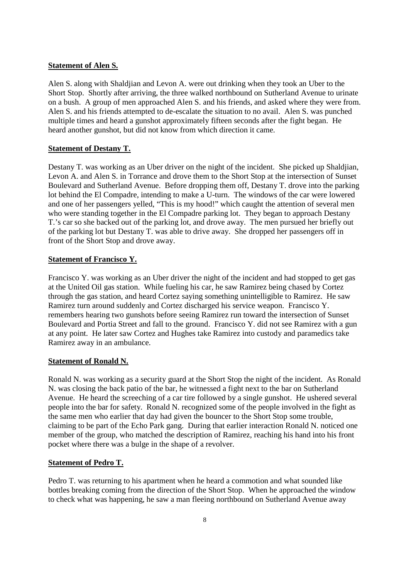#### **Statement of Alen S.**

Alen S. along with Shaldjian and Levon A. were out drinking when they took an Uber to the Short Stop. Shortly after arriving, the three walked northbound on Sutherland Avenue to urinate on a bush. A group of men approached Alen S. and his friends, and asked where they were from. Alen S. and his friends attempted to de-escalate the situation to no avail. Alen S. was punched multiple times and heard a gunshot approximately fifteen seconds after the fight began. He heard another gunshot, but did not know from which direction it came.

## **Statement of Destany T.**

Destany T. was working as an Uber driver on the night of the incident. She picked up Shaldjian, Levon A. and Alen S. in Torrance and drove them to the Short Stop at the intersection of Sunset Boulevard and Sutherland Avenue. Before dropping them off, Destany T. drove into the parking lot behind the El Compadre, intending to make a U-turn. The windows of the car were lowered and one of her passengers yelled, "This is my hood!" which caught the attention of several men who were standing together in the El Compadre parking lot. They began to approach Destany T.'s car so she backed out of the parking lot, and drove away. The men pursued her briefly out of the parking lot but Destany T. was able to drive away. She dropped her passengers off in front of the Short Stop and drove away.

## **Statement of Francisco Y.**

Francisco Y. was working as an Uber driver the night of the incident and had stopped to get gas at the United Oil gas station. While fueling his car, he saw Ramirez being chased by Cortez through the gas station, and heard Cortez saying something unintelligible to Ramirez. He saw Ramirez turn around suddenly and Cortez discharged his service weapon. Francisco Y. remembers hearing two gunshots before seeing Ramirez run toward the intersection of Sunset Boulevard and Portia Street and fall to the ground. Francisco Y. did not see Ramirez with a gun at any point. He later saw Cortez and Hughes take Ramirez into custody and paramedics take Ramirez away in an ambulance.

## **Statement of Ronald N.**

Ronald N. was working as a security guard at the Short Stop the night of the incident. As Ronald N. was closing the back patio of the bar, he witnessed a fight next to the bar on Sutherland Avenue. He heard the screeching of a car tire followed by a single gunshot. He ushered several people into the bar for safety. Ronald N. recognized some of the people involved in the fight as the same men who earlier that day had given the bouncer to the Short Stop some trouble, claiming to be part of the Echo Park gang. During that earlier interaction Ronald N. noticed one member of the group, who matched the description of Ramirez, reaching his hand into his front pocket where there was a bulge in the shape of a revolver.

## **Statement of Pedro T.**

Pedro T. was returning to his apartment when he heard a commotion and what sounded like bottles breaking coming from the direction of the Short Stop. When he approached the window to check what was happening, he saw a man fleeing northbound on Sutherland Avenue away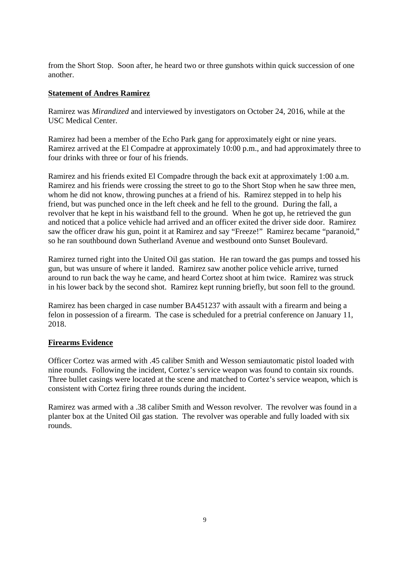from the Short Stop. Soon after, he heard two or three gunshots within quick succession of one another.

#### **Statement of Andres Ramirez**

Ramirez was *Mirandized* and interviewed by investigators on October 24, 2016, while at the USC Medical Center.

Ramirez had been a member of the Echo Park gang for approximately eight or nine years. Ramirez arrived at the El Compadre at approximately 10:00 p.m., and had approximately three to four drinks with three or four of his friends.

Ramirez and his friends exited El Compadre through the back exit at approximately 1:00 a.m. Ramirez and his friends were crossing the street to go to the Short Stop when he saw three men, whom he did not know, throwing punches at a friend of his. Ramirez stepped in to help his friend, but was punched once in the left cheek and he fell to the ground. During the fall, a revolver that he kept in his waistband fell to the ground. When he got up, he retrieved the gun and noticed that a police vehicle had arrived and an officer exited the driver side door. Ramirez saw the officer draw his gun, point it at Ramirez and say "Freeze!" Ramirez became "paranoid," so he ran southbound down Sutherland Avenue and westbound onto Sunset Boulevard.

Ramirez turned right into the United Oil gas station. He ran toward the gas pumps and tossed his gun, but was unsure of where it landed. Ramirez saw another police vehicle arrive, turned around to run back the way he came, and heard Cortez shoot at him twice. Ramirez was struck in his lower back by the second shot. Ramirez kept running briefly, but soon fell to the ground.

Ramirez has been charged in case number BA451237 with assault with a firearm and being a felon in possession of a firearm. The case is scheduled for a pretrial conference on January 11, 2018.

#### **Firearms Evidence**

Officer Cortez was armed with .45 caliber Smith and Wesson semiautomatic pistol loaded with nine rounds. Following the incident, Cortez's service weapon was found to contain six rounds. Three bullet casings were located at the scene and matched to Cortez's service weapon, which is consistent with Cortez firing three rounds during the incident.

Ramirez was armed with a .38 caliber Smith and Wesson revolver. The revolver was found in a planter box at the United Oil gas station. The revolver was operable and fully loaded with six rounds.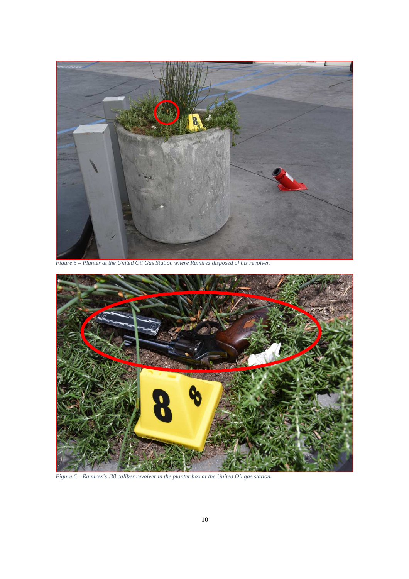

*Figure 5 – Planter at the United Oil Gas Station where Ramirez disposed of his revolver.*



*Figure 6 – Ramirez's .38 caliber revolver in the planter box at the United Oil gas station.*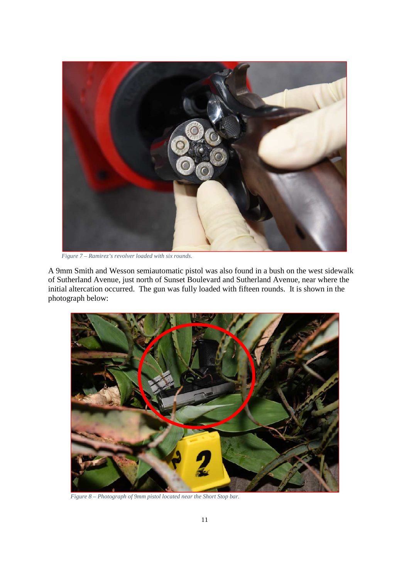

*Figure 7 – Ramirez's revolver loaded with six rounds.*

A 9mm Smith and Wesson semiautomatic pistol was also found in a bush on the west sidewalk of Sutherland Avenue, just north of Sunset Boulevard and Sutherland Avenue, near where the initial altercation occurred. The gun was fully loaded with fifteen rounds. It is shown in the photograph below:



*Figure 8 – Photograph of 9mm pistol located near the Short Stop bar.*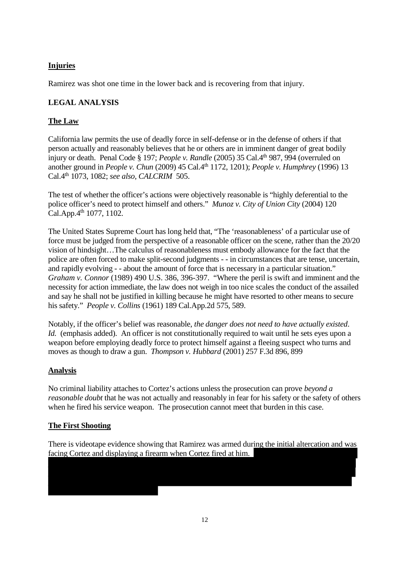## **Injuries**

Ramirez was shot one time in the lower back and is recovering from that injury.

## **LEGAL ANALYSIS**

## **The Law**

California law permits the use of deadly force in self-defense or in the defense of others if that person actually and reasonably believes that he or others are in imminent danger of great bodily injury or death. Penal Code § 197; *People v. Randle* (2005) 35 Cal.4<sup>th</sup> 987, 994 (overruled on another ground in *People v. Chun* (2009) 45 Cal.4th 1172, 1201); *People v. Humphrey* (1996) 13 Cal.4th 1073, 1082; *see also, CALCRIM* 505.

The test of whether the officer's actions were objectively reasonable is "highly deferential to the police officer's need to protect himself and others." *Munoz v. City of Union City* (2004) 120 Cal.App. $4^{th}$  1077, 1102.

The United States Supreme Court has long held that, "The 'reasonableness' of a particular use of force must be judged from the perspective of a reasonable officer on the scene, rather than the 20/20 vision of hindsight…The calculus of reasonableness must embody allowance for the fact that the police are often forced to make split-second judgments - - in circumstances that are tense, uncertain, and rapidly evolving - - about the amount of force that is necessary in a particular situation." *Graham v. Connor* (1989) 490 U.S. 386, 396-397. "Where the peril is swift and imminent and the necessity for action immediate, the law does not weigh in too nice scales the conduct of the assailed and say he shall not be justified in killing because he might have resorted to other means to secure his safety." *People v. Collins* (1961) 189 Cal.App.2d 575, 589.

Notably, if the officer's belief was reasonable, *the danger does not need to have actually existed*. *Id.* (emphasis added). An officer is not constitutionally required to wait until he sets eyes upon a weapon before employing deadly force to protect himself against a fleeing suspect who turns and moves as though to draw a gun. *Thompson v. Hubbard* (2001) 257 F.3d 896, 899

## **Analysis**

No criminal liability attaches to Cortez's actions unless the prosecution can prove *beyond a reasonable doubt* that he was not actually and reasonably in fear for his safety or the safety of others when he fired his service weapon. The prosecution cannot meet that burden in this case.

## **The First Shooting**

There is videotape evidence showing that Ramirez was armed during the initial altercation and was facing Cortez and displaying a firearm when Cortez fired at him.